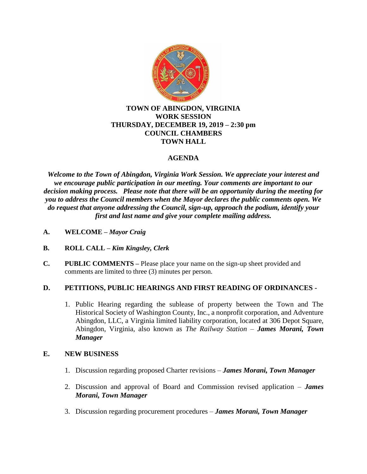

# **TOWN OF ABINGDON, VIRGINIA WORK SESSION THURSDAY, DECEMBER 19, 2019 – 2:30 pm COUNCIL CHAMBERS TOWN HALL**

# **AGENDA**

*Welcome to the Town of Abingdon, Virginia Work Session. We appreciate your interest and we encourage public participation in our meeting. Your comments are important to our decision making process. Please note that there will be an opportunity during the meeting for you to address the Council members when the Mayor declares the public comments open. We do request that anyone addressing the Council, sign-up, approach the podium, identify your first and last name and give your complete mailing address.*

- **A. WELCOME –** *Mayor Craig*
- **B. ROLL CALL –** *Kim Kingsley, Clerk*
- **C. PUBLIC COMMENTS –** Please place your name on the sign-up sheet provided and comments are limited to three (3) minutes per person.

# **D. PETITIONS, PUBLIC HEARINGS AND FIRST READING OF ORDINANCES -**

1. Public Hearing regarding the sublease of property between the Town and The Historical Society of Washington County, Inc., a nonprofit corporation, and Adventure Abingdon, LLC, a Virginia limited liability corporation, located at 306 Depot Square, Abingdon, Virginia, also known as *The Railway Station* – *James Morani, Town Manager*

# **E. NEW BUSINESS**

- 1. Discussion regarding proposed Charter revisions *James Morani, Town Manager*
- 2. Discussion and approval of Board and Commission revised application *James Morani, Town Manager*
- 3. Discussion regarding procurement procedures *James Morani, Town Manager*